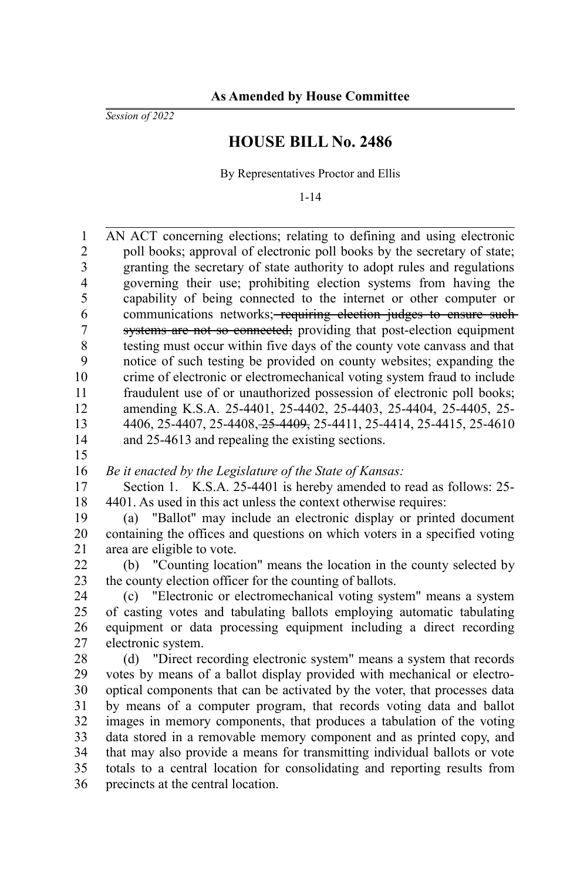*Session of 2022*

## **HOUSE BILL No. 2486**

By Representatives Proctor and Ellis

1-14

AN ACT concerning elections; relating to defining and using electronic poll books; approval of electronic poll books by the secretary of state; granting the secretary of state authority to adopt rules and regulations governing their use; prohibiting election systems from having the capability of being connected to the internet or other computer or communications networks; requiring election judges to ensure suchsystems are not so connected; providing that post-election equipment testing must occur within five days of the county vote canvass and that notice of such testing be provided on county websites; expanding the crime of electronic or electromechanical voting system fraud to include fraudulent use of or unauthorized possession of electronic poll books; amending K.S.A. 25-4401, 25-4402, 25-4403, 25-4404, 25-4405, 25- 4406, 25-4407, 25-4408, 25-4409, 25-4411, 25-4414, 25-4415, 25-4610 and 25-4613 and repealing the existing sections. *Be it enacted by the Legislature of the State of Kansas:* Section 1. K.S.A. 25-4401 is hereby amended to read as follows: 25- 4401. As used in this act unless the context otherwise requires: (a) "Ballot" may include an electronic display or printed document containing the offices and questions on which voters in a specified voting area are eligible to vote. (b) "Counting location" means the location in the county selected by the county election officer for the counting of ballots. (c) "Electronic or electromechanical voting system" means a system of casting votes and tabulating ballots employing automatic tabulating equipment or data processing equipment including a direct recording electronic system. (d) "Direct recording electronic system" means a system that records votes by means of a ballot display provided with mechanical or electrooptical components that can be activated by the voter, that processes data by means of a computer program, that records voting data and ballot images in memory components, that produces a tabulation of the voting data stored in a removable memory component and as printed copy, and that may also provide a means for transmitting individual ballots or vote totals to a central location for consolidating and reporting results from precincts at the central location. 1 2 3 4 5 6 7 8 9 10 11 12 13 14 15 16 17 18 19 20 21 22 23 24 25 26 27 28 29 30 31 32 33 34 35 36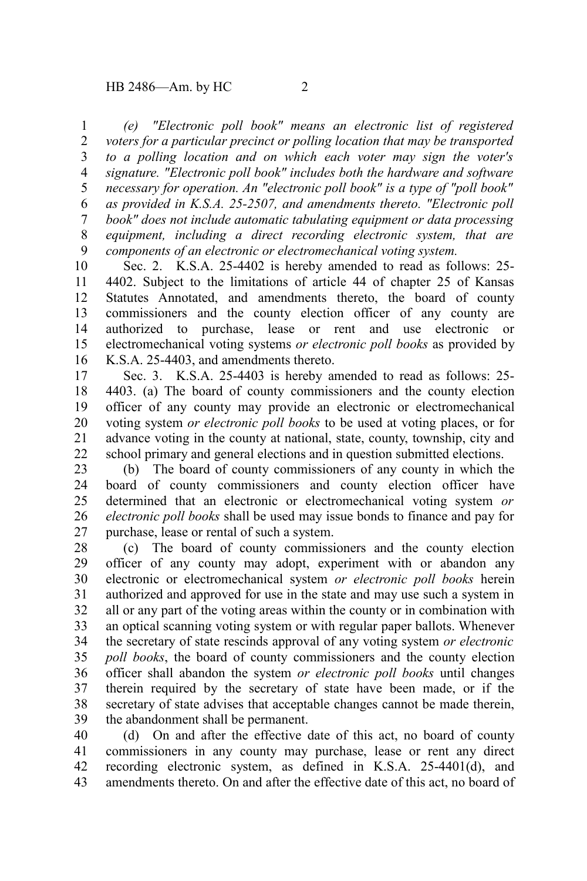*(e) "Electronic poll book" means an electronic list of registered voters for a particular precinct or polling location that may be transported to a polling location and on which each voter may sign the voter's signature. "Electronic poll book" includes both the hardware and software necessary for operation. An "electronic poll book" is a type of "poll book" as provided in K.S.A. 25-2507, and amendments thereto. "Electronic poll book" does not include automatic tabulating equipment or data processing equipment, including a direct recording electronic system, that are components of an electronic or electromechanical voting system.* 1 2 3 4 5 6 7 8 9

Sec. 2. K.S.A. 25-4402 is hereby amended to read as follows: 25- 4402. Subject to the limitations of article 44 of chapter 25 of Kansas Statutes Annotated, and amendments thereto, the board of county commissioners and the county election officer of any county are authorized to purchase, lease or rent and use electronic or electromechanical voting systems *or electronic poll books* as provided by K.S.A. 25-4403, and amendments thereto. 10 11 12 13 14 15 16

Sec. 3. K.S.A. 25-4403 is hereby amended to read as follows: 25- 4403. (a) The board of county commissioners and the county election officer of any county may provide an electronic or electromechanical voting system *or electronic poll books* to be used at voting places, or for advance voting in the county at national, state, county, township, city and school primary and general elections and in question submitted elections. 17 18 19 20 21 22

(b) The board of county commissioners of any county in which the board of county commissioners and county election officer have determined that an electronic or electromechanical voting system *or electronic poll books* shall be used may issue bonds to finance and pay for purchase, lease or rental of such a system. 23 24 25 26 27

(c) The board of county commissioners and the county election officer of any county may adopt, experiment with or abandon any electronic or electromechanical system *or electronic poll books* herein authorized and approved for use in the state and may use such a system in all or any part of the voting areas within the county or in combination with an optical scanning voting system or with regular paper ballots. Whenever the secretary of state rescinds approval of any voting system *or electronic poll books*, the board of county commissioners and the county election officer shall abandon the system *or electronic poll books* until changes therein required by the secretary of state have been made, or if the secretary of state advises that acceptable changes cannot be made therein, the abandonment shall be permanent. 28 29 30 31 32 33 34 35 36 37 38 39

(d) On and after the effective date of this act, no board of county commissioners in any county may purchase, lease or rent any direct recording electronic system, as defined in K.S.A. 25-4401(d), and amendments thereto. On and after the effective date of this act, no board of 40 41 42 43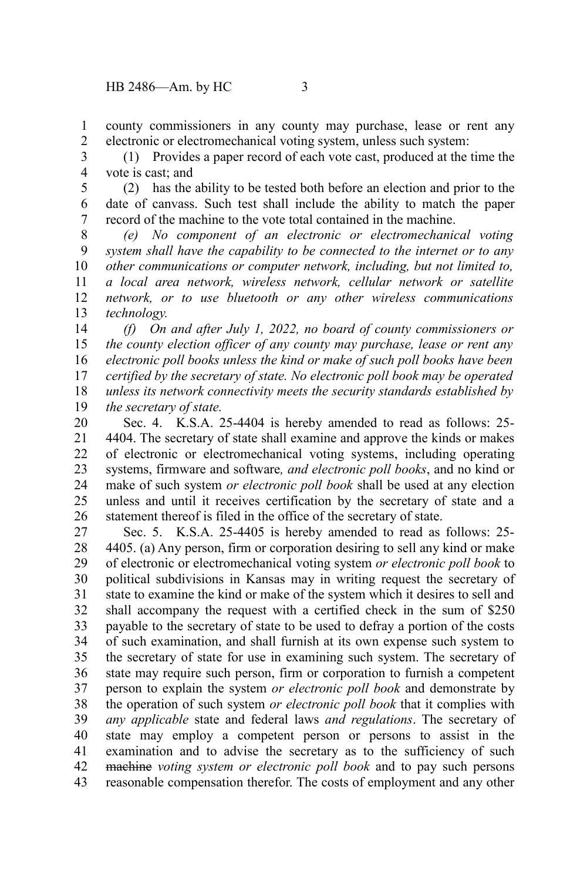county commissioners in any county may purchase, lease or rent any electronic or electromechanical voting system, unless such system: 1 2

(1) Provides a paper record of each vote cast, produced at the time the vote is cast; and 3 4

(2) has the ability to be tested both before an election and prior to the date of canvass. Such test shall include the ability to match the paper record of the machine to the vote total contained in the machine. 5 6 7

*(e) No component of an electronic or electromechanical voting system shall have the capability to be connected to the internet or to any other communications or computer network, including, but not limited to, a local area network, wireless network, cellular network or satellite network, or to use bluetooth or any other wireless communications technology.* 8 9 10 11 12 13

*(f) On and after July 1, 2022, no board of county commissioners or the county election officer of any county may purchase, lease or rent any electronic poll books unless the kind or make of such poll books have been certified by the secretary of state. No electronic poll book may be operated unless its network connectivity meets the security standards established by the secretary of state.* 14 15 16 17 18 19

Sec. 4. K.S.A. 25-4404 is hereby amended to read as follows: 25- 4404. The secretary of state shall examine and approve the kinds or makes of electronic or electromechanical voting systems, including operating systems, firmware and software*, and electronic poll books*, and no kind or make of such system *or electronic poll book* shall be used at any election unless and until it receives certification by the secretary of state and a statement thereof is filed in the office of the secretary of state. 20 21 22 23 24 25 26

Sec. 5. K.S.A. 25-4405 is hereby amended to read as follows: 25- 4405. (a) Any person, firm or corporation desiring to sell any kind or make of electronic or electromechanical voting system *or electronic poll book* to political subdivisions in Kansas may in writing request the secretary of state to examine the kind or make of the system which it desires to sell and shall accompany the request with a certified check in the sum of \$250 payable to the secretary of state to be used to defray a portion of the costs of such examination, and shall furnish at its own expense such system to the secretary of state for use in examining such system. The secretary of state may require such person, firm or corporation to furnish a competent person to explain the system *or electronic poll book* and demonstrate by the operation of such system *or electronic poll book* that it complies with *any applicable* state and federal laws *and regulations*. The secretary of state may employ a competent person or persons to assist in the examination and to advise the secretary as to the sufficiency of such machine *voting system or electronic poll book* and to pay such persons reasonable compensation therefor. The costs of employment and any other 27 28 29 30 31 32 33 34 35 36 37 38 39 40 41 42 43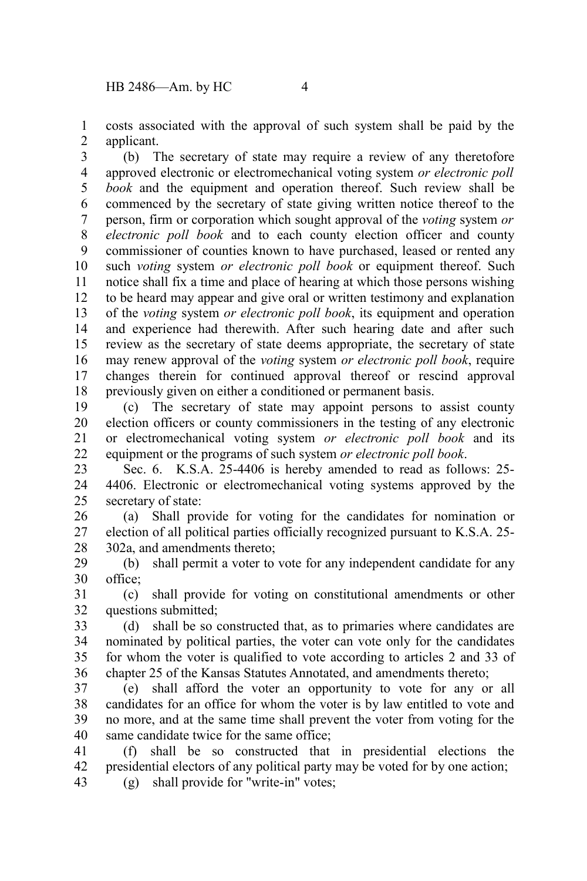costs associated with the approval of such system shall be paid by the applicant. 1 2

(b) The secretary of state may require a review of any theretofore approved electronic or electromechanical voting system *or electronic poll book* and the equipment and operation thereof. Such review shall be commenced by the secretary of state giving written notice thereof to the person, firm or corporation which sought approval of the *voting* system *or electronic poll book* and to each county election officer and county commissioner of counties known to have purchased, leased or rented any such *voting* system *or electronic poll book* or equipment thereof. Such notice shall fix a time and place of hearing at which those persons wishing to be heard may appear and give oral or written testimony and explanation of the *voting* system *or electronic poll book*, its equipment and operation and experience had therewith. After such hearing date and after such review as the secretary of state deems appropriate, the secretary of state may renew approval of the *voting* system *or electronic poll book*, require changes therein for continued approval thereof or rescind approval previously given on either a conditioned or permanent basis. 3 4 5 6 7 8 9 10 11 12 13 14 15 16 17 18

(c) The secretary of state may appoint persons to assist county election officers or county commissioners in the testing of any electronic or electromechanical voting system *or electronic poll book* and its equipment or the programs of such system *or electronic poll book*. 19 20 21 22

Sec. 6. K.S.A. 25-4406 is hereby amended to read as follows: 25- 4406. Electronic or electromechanical voting systems approved by the secretary of state: 23 24 25

(a) Shall provide for voting for the candidates for nomination or election of all political parties officially recognized pursuant to K.S.A. 25- 302a, and amendments thereto; 26 27 28

(b) shall permit a voter to vote for any independent candidate for any office; 29 30

(c) shall provide for voting on constitutional amendments or other questions submitted; 31 32

(d) shall be so constructed that, as to primaries where candidates are nominated by political parties, the voter can vote only for the candidates for whom the voter is qualified to vote according to articles 2 and 33 of chapter 25 of the Kansas Statutes Annotated, and amendments thereto; 33 34 35 36

(e) shall afford the voter an opportunity to vote for any or all candidates for an office for whom the voter is by law entitled to vote and no more, and at the same time shall prevent the voter from voting for the same candidate twice for the same office: 37 38 39 40

(f) shall be so constructed that in presidential elections the presidential electors of any political party may be voted for by one action; 41 42 43

(g) shall provide for "write-in" votes;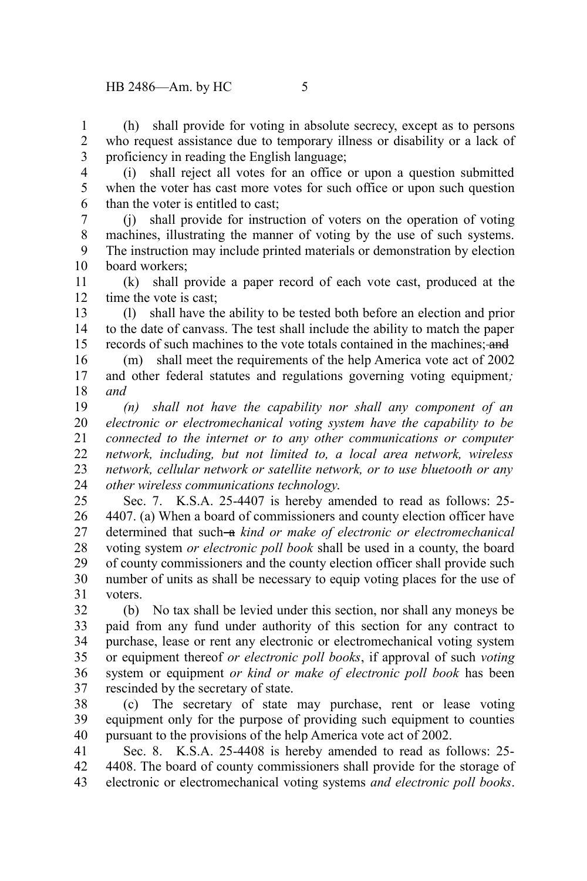(h) shall provide for voting in absolute secrecy, except as to persons who request assistance due to temporary illness or disability or a lack of proficiency in reading the English language; 1 2 3

(i) shall reject all votes for an office or upon a question submitted when the voter has cast more votes for such office or upon such question than the voter is entitled to cast; 4 5 6

(j) shall provide for instruction of voters on the operation of voting machines, illustrating the manner of voting by the use of such systems. The instruction may include printed materials or demonstration by election board workers; 7 8 9 10

(k) shall provide a paper record of each vote cast, produced at the time the vote is cast; 11 12

(l) shall have the ability to be tested both before an election and prior to the date of canvass. The test shall include the ability to match the paper records of such machines to the vote totals contained in the machines; and 13 14 15

(m) shall meet the requirements of the help America vote act of 2002 and other federal statutes and regulations governing voting equipment*; and* 16 17 18

*(n) shall not have the capability nor shall any component of an electronic or electromechanical voting system have the capability to be connected to the internet or to any other communications or computer network, including, but not limited to, a local area network, wireless network, cellular network or satellite network, or to use bluetooth or any other wireless communications technology*. 19 20 21 22 23 24

Sec. 7. K.S.A. 25-4407 is hereby amended to read as follows: 25- 4407. (a) When a board of commissioners and county election officer have determined that such-a kind or make of electronic or electromechanical voting system *or electronic poll book* shall be used in a county, the board of county commissioners and the county election officer shall provide such number of units as shall be necessary to equip voting places for the use of voters. 25 26 27 28 29 30 31

(b) No tax shall be levied under this section, nor shall any moneys be paid from any fund under authority of this section for any contract to purchase, lease or rent any electronic or electromechanical voting system or equipment thereof *or electronic poll books*, if approval of such *voting* system or equipment *or kind or make of electronic poll book* has been rescinded by the secretary of state. 32 33 34 35 36 37

(c) The secretary of state may purchase, rent or lease voting equipment only for the purpose of providing such equipment to counties pursuant to the provisions of the help America vote act of 2002. 38 39 40

Sec. 8. K.S.A. 25-4408 is hereby amended to read as follows: 25- 4408. The board of county commissioners shall provide for the storage of electronic or electromechanical voting systems *and electronic poll books*. 41 42 43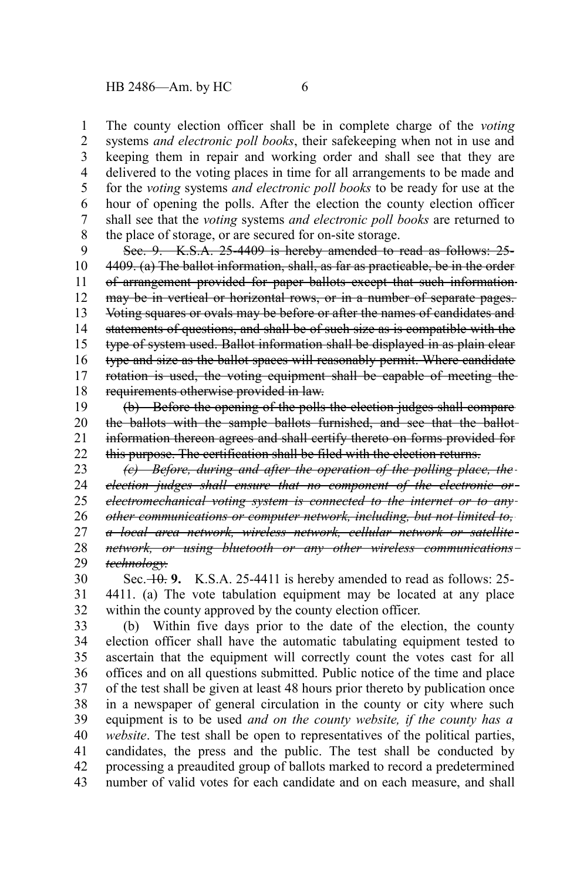The county election officer shall be in complete charge of the *voting* systems *and electronic poll books*, their safekeeping when not in use and keeping them in repair and working order and shall see that they are delivered to the voting places in time for all arrangements to be made and for the *voting* systems *and electronic poll books* to be ready for use at the hour of opening the polls. After the election the county election officer shall see that the *voting* systems *and electronic poll books* are returned to the place of storage, or are secured for on-site storage. 1 2 3 4 5 6 7 8

Sec. 9. K.S.A. 25-4409 is hereby amended to read as follows: 25-4409. (a) The ballot information, shall, as far as practicable, be in the order of arrangement provided for paper ballots except that such information may be in vertical or horizontal rows, or in a number of separate pages. Voting squares or ovals may be before or after the names of candidates and statements of questions, and shall be of such size as is compatible with the type of system used. Ballot information shall be displayed in as plain clear type and size as the ballot spaces will reasonably permit. Where candidate rotation is used, the voting equipment shall be capable of meeting the requirements otherwise provided in law. 9 10 11 12 13 14 15 16 17 18

(b) Before the opening of the polls the election judges shall compare the ballots with the sample ballots furnished, and see that the ballot information thereon agrees and shall certify thereto on forms provided for this purpose. The certification shall be filed with the election returns. 19 20 21 22

*(c) Before, during and after the operation of the polling place, the election judges shall ensure that no component of the electronic or electromechanical voting system is connected to the internet or to any other communications or computer network, including, but not limited to,* 23 24 25 26

*a local area network, wireless network, cellular network or satellite* 27

*network, or using bluetooth or any other wireless communications technology.* 28 29

Sec. 10. **9.** K.S.A. 25-4411 is hereby amended to read as follows: 25- 4411. (a) The vote tabulation equipment may be located at any place within the county approved by the county election officer. 30 31 32

(b) Within five days prior to the date of the election, the county election officer shall have the automatic tabulating equipment tested to ascertain that the equipment will correctly count the votes cast for all offices and on all questions submitted. Public notice of the time and place of the test shall be given at least 48 hours prior thereto by publication once in a newspaper of general circulation in the county or city where such equipment is to be used *and on the county website, if the county has a website*. The test shall be open to representatives of the political parties, candidates, the press and the public. The test shall be conducted by processing a preaudited group of ballots marked to record a predetermined number of valid votes for each candidate and on each measure, and shall 33 34 35 36 37 38 39 40 41 42 43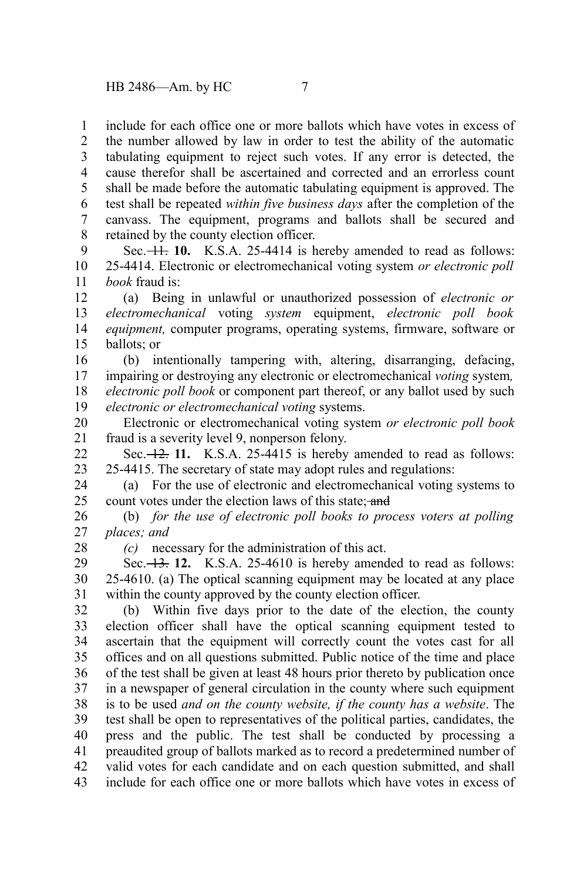include for each office one or more ballots which have votes in excess of the number allowed by law in order to test the ability of the automatic tabulating equipment to reject such votes. If any error is detected, the cause therefor shall be ascertained and corrected and an errorless count shall be made before the automatic tabulating equipment is approved. The test shall be repeated *within five business days* after the completion of the canvass. The equipment, programs and ballots shall be secured and retained by the county election officer. 1 2 3 4 5 6 7 8

Sec.  $\overline{+1}$ . **10.** K.S.A. 25-4414 is hereby amended to read as follows: 25-4414. Electronic or electromechanical voting system *or electronic poll book* fraud is: 9 10 11

(a) Being in unlawful or unauthorized possession of *electronic or electromechanical* voting *system* equipment, *electronic poll book equipment,* computer programs, operating systems, firmware, software or ballots; or 12 13 14 15

(b) intentionally tampering with, altering, disarranging, defacing, impairing or destroying any electronic or electromechanical *voting* system*, electronic poll book* or component part thereof, or any ballot used by such *electronic or electromechanical voting* systems. 16 17 18 19

Electronic or electromechanical voting system *or electronic poll book* fraud is a severity level 9, nonperson felony. 20 21

Sec.  $\overline{12}$ . **11.** K.S.A. 25-4415 is hereby amended to read as follows: 25-4415. The secretary of state may adopt rules and regulations: 22 23

(a) For the use of electronic and electromechanical voting systems to count votes under the election laws of this state; and 24 25

(b) *for the use of electronic poll books to process voters at polling places; and* 26 27

28

*(c)* necessary for the administration of this act.

Sec.  $\overline{13}$ . **12.** K.S.A. 25-4610 is hereby amended to read as follows: 25-4610. (a) The optical scanning equipment may be located at any place within the county approved by the county election officer. 29 30 31

(b) Within five days prior to the date of the election, the county election officer shall have the optical scanning equipment tested to ascertain that the equipment will correctly count the votes cast for all offices and on all questions submitted. Public notice of the time and place of the test shall be given at least 48 hours prior thereto by publication once in a newspaper of general circulation in the county where such equipment is to be used *and on the county website, if the county has a website*. The test shall be open to representatives of the political parties, candidates, the press and the public. The test shall be conducted by processing a preaudited group of ballots marked as to record a predetermined number of valid votes for each candidate and on each question submitted, and shall include for each office one or more ballots which have votes in excess of 32 33 34 35 36 37 38 39 40 41 42 43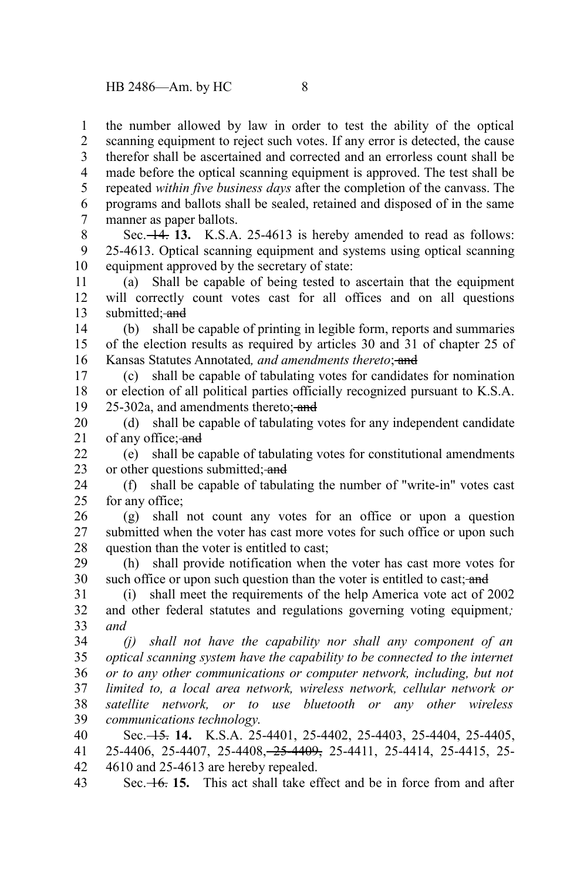the number allowed by law in order to test the ability of the optical scanning equipment to reject such votes. If any error is detected, the cause therefor shall be ascertained and corrected and an errorless count shall be made before the optical scanning equipment is approved. The test shall be repeated *within five business days* after the completion of the canvass. The programs and ballots shall be sealed, retained and disposed of in the same manner as paper ballots. 1 2 3 4 5 6 7

Sec.  $\overline{+4}$ . **13.** K.S.A. 25-4613 is hereby amended to read as follows: 25-4613. Optical scanning equipment and systems using optical scanning equipment approved by the secretary of state: 8 9 10

(a) Shall be capable of being tested to ascertain that the equipment will correctly count votes cast for all offices and on all questions submitted: and 11 12 13

(b) shall be capable of printing in legible form, reports and summaries of the election results as required by articles 30 and 31 of chapter 25 of Kansas Statutes Annotated, and amendments thereto; and 14 15 16

(c) shall be capable of tabulating votes for candidates for nomination or election of all political parties officially recognized pursuant to K.S.A. 25-302a, and amendments thereto; and 17 18 19

(d) shall be capable of tabulating votes for any independent candidate of any office; and 20 21

(e) shall be capable of tabulating votes for constitutional amendments or other questions submitted: and  $22$ 23

(f) shall be capable of tabulating the number of "write-in" votes cast for any office; 24 25

(g) shall not count any votes for an office or upon a question submitted when the voter has cast more votes for such office or upon such question than the voter is entitled to cast; 26 27 28

(h) shall provide notification when the voter has cast more votes for such office or upon such question than the voter is entitled to cast; and 29 30

(i) shall meet the requirements of the help America vote act of 2002 and other federal statutes and regulations governing voting equipment*; and* 31 32 33

*(j) shall not have the capability nor shall any component of an optical scanning system have the capability to be connected to the internet or to any other communications or computer network, including, but not limited to, a local area network, wireless network, cellular network or satellite network, or to use bluetooth or any other wireless communications technology*. 34 35 36 37 38 39

Sec. 15. **14.** K.S.A. 25-4401, 25-4402, 25-4403, 25-4404, 25-4405, 25-4406, 25-4407, 25-4408, 25-4409, 25-4411, 25-4414, 25-4415, 25- 4610 and 25-4613 are hereby repealed. 40 41 42

Sec.  $\overline{+6}$ . **15.** This act shall take effect and be in force from and after 43